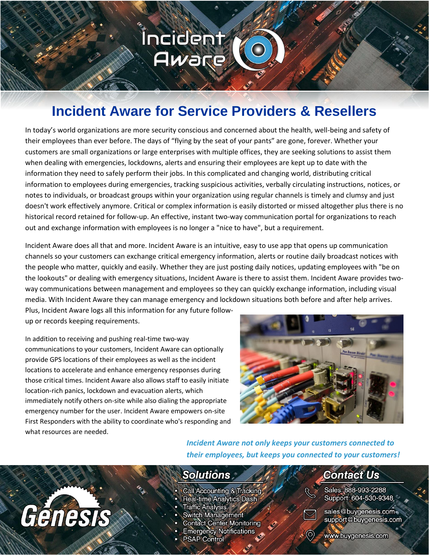### **Incident** Aware

#### **Incident Aware for Service Providers & Resellers**

In today's world organizations are more security conscious and concerned about the health, well-being and safety of their employees than ever before. The days of "flying by the seat of your pants" are gone, forever. Whether your customers are small organizations or large enterprises with multiple offices, they are seeking solutions to assist them when dealing with emergencies, lockdowns, alerts and ensuring their employees are kept up to date with the information they need to safely perform their jobs. In this complicated and changing world, distributing critical information to employees during emergencies, tracking suspicious activities, verbally circulating instructions, notices, or notes to individuals, or broadcast groups within your organization using regular channels is timely and clumsy and just doesn't work effectively anymore. Critical or complex information is easily distorted or missed altogether plus there is no historical record retained for follow-up. An effective, instant two-way communication portal for organizations to reach out and exchange information with employees is no longer a "nice to have", but a requirement.

Incident Aware does all that and more. Incident Aware is an intuitive, easy to use app that opens up communication channels so your customers can exchange critical emergency information, alerts or routine daily broadcast notices with the people who matter, quickly and easily. Whether they are just posting daily notices, updating employees with "be on the lookouts" or dealing with emergency situations, Incident Aware is there to assist them. Incident Aware provides twoway communications between management and employees so they can quickly exchange information, including visual media. With Incident Aware they can manage emergency and lockdown situations both before and after help arrives. Plus, Incident Aware logs all this information for any future follow-

up or records keeping requirements.

In addition to receiving and pushing real-time two-way communications to your customers, Incident Aware can optionally provide GPS locations of their employees as well as the incident locations to accelerate and enhance emergency responses during those critical times. Incident Aware also allows staff to easily initiate location-rich panics, lockdown and evacuation alerts, which immediately notify others on-site while also dialing the appropriate emergency number for the user. Incident Aware empowers on-site First Responders with the ability to coordinate who's responding and what resources are needed.



*Incident Aware not only keeps your customers connected to their employees, but keeps you connected to your customers!*

## Génesis

#### **Solutions**

- Call Accounting & Tracking
- Real-time Analytics Dash
- Traffic Analysis \*
- **Switch Management**
- **Contact Center Monitoring**
- **Emergency Notifications**
- **PSAP Control**

#### **Contact Us**

Sales: 888-993-2288 Support: 604-530-9348



sales@buygenesis.com support@buygenesis.com